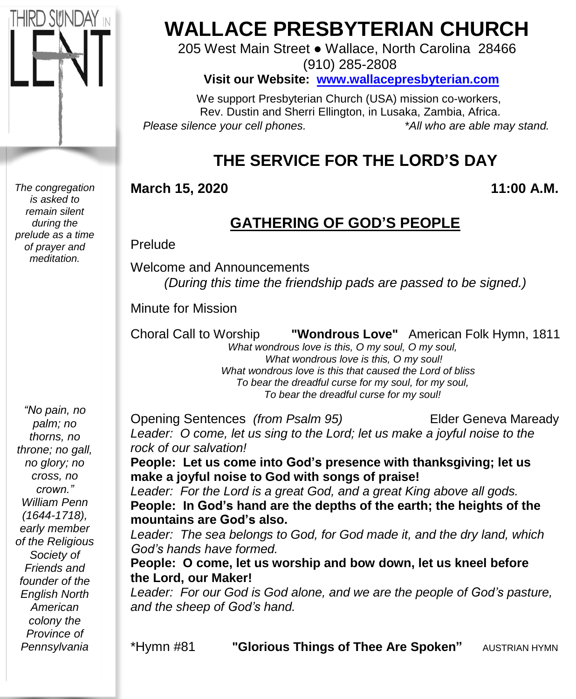

*The congregation is asked to remain silent during the prelude as a time of prayer and meditation.*

# **WALLACE PRESBYTERIAN CHURCH**

205 West Main Street ● Wallace, North Carolina 28466 (910) 285-2808

**Visit our Website: [www.wallacepresbyterian.com](http://www.wallacepresbyterian.com/)**

 We support Presbyterian Church (USA) mission co-workers, Rev. Dustin and Sherri Ellington, in Lusaka, Zambia, Africa. *Please silence your cell phones. \*All who are able may stand.*

## **THE SERVICE FOR THE LORD'S DAY**

#### **March 15, 2020 11:00 A.M.**

### **GATHERING OF GOD'S PEOPLE**

Prelude

Welcome and Announcements *(During this time the friendship pads are passed to be signed.)*

Minute for Mission

Choral Call to Worship **"Wondrous Love"** American Folk Hymn, 1811 *What wondrous love is this, O my soul, O my soul,*

 *What wondrous love is this, O my soul! What wondrous love is this that caused the Lord of bliss To bear the dreadful curse for my soul, for my soul, To bear the dreadful curse for my soul!*

*"No pain, no palm; no thorns, no throne; no gall, no glory; no cross, no crown." William Penn (1644-1718), early member of the Religious Society of Friends and founder of the English North American colony the Province of Pennsylvania*

Opening Sentences *(from Psalm 95)* Elder Geneva Maready *Leader: O come, let us sing to the Lord; let us make a joyful noise to the rock of our salvation!* **People: Let us come into God's presence with thanksgiving; let us make a joyful noise to God with songs of praise!** *Leader: For the Lord is a great God, and a great King above all gods.* **People: In God's hand are the depths of the earth; the heights of the mountains are God's also.** *Leader: The sea belongs to God, for God made it, and the dry land, which God's hands have formed.* **People: O come, let us worship and bow down, let us kneel before the Lord, our Maker!** *Leader: For our God is God alone, and we are the people of God's pasture, and the sheep of God's hand.*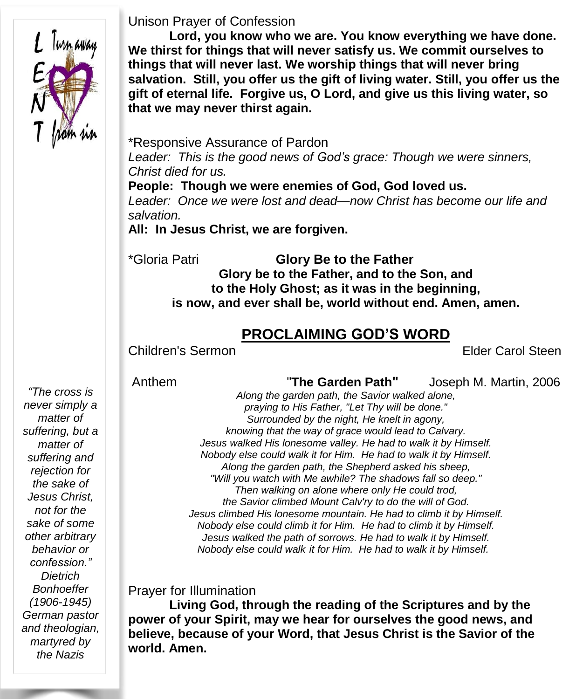

#### Unison Prayer of Confession

**Lord, you know who we are. You know everything we have done. We thirst for things that will never satisfy us. We commit ourselves to things that will never last. We worship things that will never bring salvation. Still, you offer us the gift of living water. Still, you offer us the gift of eternal life. Forgive us, O Lord, and give us this living water, so that we may never thirst again.**

\*Responsive Assurance of Pardon *Leader: This is the good news of God's grace: Though we were sinners, Christ died for us.*

**People: Though we were enemies of God, God loved us.** *Leader: Once we were lost and dead—now Christ has become our life and salvation.*

**All: In Jesus Christ, we are forgiven.**

\*Gloria Patri **Glory Be to the Father Glory be to the Father, and to the Son, and to the Holy Ghost; as it was in the beginning, is now, and ever shall be, world without end. Amen, amen.**

#### **PROCLAIMING GOD'S WORD**

Children's Sermon Elder Carol Steen

Anthem "**The Garden Path"** Joseph M. Martin, 2006

*"The cross is never simply a matter of suffering, but a matter of suffering and rejection for the sake of Jesus Christ, not for the sake of some other arbitrary behavior or confession." Dietrich Bonhoeffer (1906-1945) German pastor and theologian, martyred by the Nazis*

*Along the garden path, the Savior walked alone, praying to His Father, "Let Thy will be done." Surrounded by the night, He knelt in agony, knowing that the way of grace would lead to Calvary. Jesus walked His lonesome valley. He had to walk it by Himself. Nobody else could walk it for Him. He had to walk it by Himself. Along the garden path, the Shepherd asked his sheep, "Will you watch with Me awhile? The shadows fall so deep." Then walking on alone where only He could trod, the Savior climbed Mount Calv'ry to do the will of God. Jesus climbed His lonesome mountain. He had to climb it by Himself. Nobody else could climb it for Him. He had to climb it by Himself. Jesus walked the path of sorrows. He had to walk it by Himself. Nobody else could walk it for Him. He had to walk it by Himself.*

Prayer for Illumination

**Living God, through the reading of the Scriptures and by the power of your Spirit, may we hear for ourselves the good news, and believe, because of your Word, that Jesus Christ is the Savior of the world. Amen.**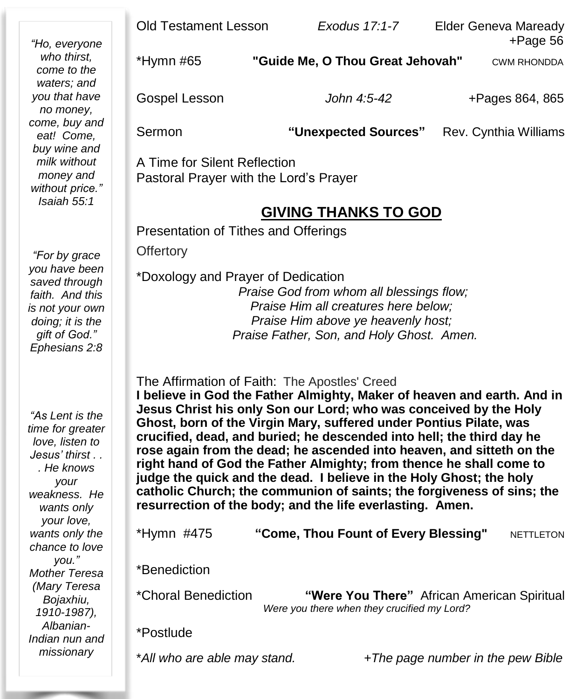|                                                                                                            | <b>Old Testament Lesson</b>            | Exodus 17:1-7                    | Elder Geneva Maready              |  |  |
|------------------------------------------------------------------------------------------------------------|----------------------------------------|----------------------------------|-----------------------------------|--|--|
| "Ho, everyone<br>who thirst,<br>come to the                                                                | *Hymn #65                              | "Guide Me, O Thou Great Jehovah" | $+$ Page 56<br><b>CWM RHONDDA</b> |  |  |
| waters; and<br>you that have<br>no money,                                                                  | Gospel Lesson                          | John 4:5-42                      | +Pages 864, 865                   |  |  |
| come, buy and<br>eat! Come,<br>buy wine and<br>milk without<br>money and<br>without price."<br>Isaiah 55:1 | Sermon                                 | "Unexpected Sources"             | Rev. Cynthia Williams             |  |  |
|                                                                                                            | A Time for Silent Reflection           |                                  |                                   |  |  |
|                                                                                                            | Pastoral Prayer with the Lord's Prayer |                                  |                                   |  |  |
|                                                                                                            | <b>GIVING THANKS TO GOD</b>            |                                  |                                   |  |  |
|                                                                                                            | Presentation of Tithes and Offerings   |                                  |                                   |  |  |
| "For by grace                                                                                              | <b>Offertory</b>                       |                                  |                                   |  |  |
| you have been<br>saved through                                                                             | *Doxology and Prayer of Dedication     |                                  |                                   |  |  |

*Praise God from whom all blessings flow; Praise Him all creatures here below; Praise Him above ye heavenly host; Praise Father, Son, and Holy Ghost. Amen.*

The Affirmation of Faith: The Apostles' Creed

**I believe in God the Father Almighty, Maker of heaven and earth. And in Jesus Christ his only Son our Lord; who was conceived by the Holy Ghost, born of the Virgin Mary, suffered under Pontius Pilate, was crucified, dead, and buried; he descended into hell; the third day he rose again from the dead; he ascended into heaven, and sitteth on the right hand of God the Father Almighty; from thence he shall come to judge the quick and the dead. I believe in the Holy Ghost; the holy catholic Church; the communion of saints; the forgiveness of sins; the resurrection of the body; and the life everlasting. Amen.**

| *Hymn #475                           | "Come, Thou Fount of Every Blessing"                                                       | <b>NETTLETON</b> |
|--------------------------------------|--------------------------------------------------------------------------------------------|------------------|
| *Benediction                         |                                                                                            |                  |
| <i>*Choral Benediction</i>           | "Were You There" African American Spiritual<br>Were you there when they crucified my Lord? |                  |
| $*$<br>$\mathbf{S}$ and $\mathbf{S}$ |                                                                                            |                  |

Postlude

\**All who are able may stand. +The page number in the pew Bible*

*"For by grace you have been saved through faith. And this is not your own doing; it is the gift of God." Ephesians 2:8*

٠

*"As Lent is the time for greater love, listen to Jesus' thirst . . . He knows your weakness. He wants only your love, wants only the chance to love you." Mother Teresa (Mary Teresa Bojaxhiu, 1910-1987), Albanian-Indian nun and missionary*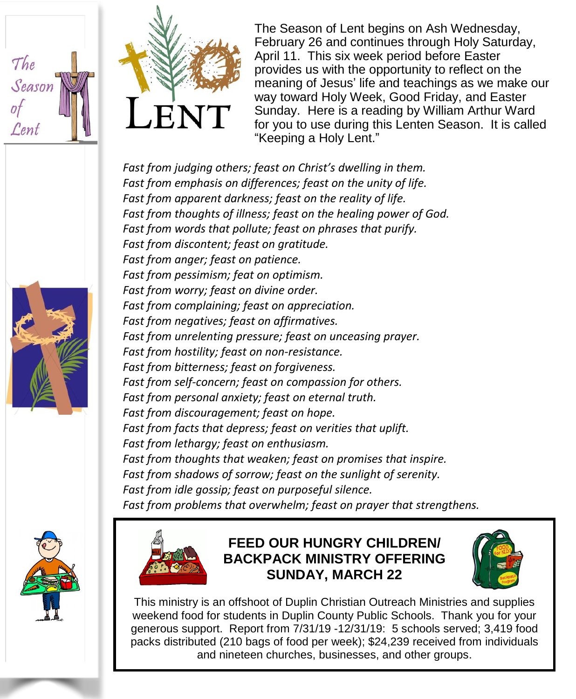



The Season of Lent begins on Ash Wednesday, February 26 and continues through Holy Saturday, April 11. This six week period before Easter provides us with the opportunity to reflect on the meaning of Jesus' life and teachings as we make our way toward Holy Week, Good Friday, and Easter Sunday. Here is a reading by William Arthur Ward for you to use during this Lenten Season. It is called "Keeping a Holy Lent."

*Fast from judging others; feast on Christ's dwelling in them. Fast from emphasis on differences; feast on the unity of life. Fast from apparent darkness; feast on the reality of life. Fast from thoughts of illness; feast on the healing power of God. Fast from words that pollute; feast on phrases that purify. Fast from discontent; feast on gratitude. Fast from anger; feast on patience. Fast from pessimism; feat on optimism. Fast from worry; feast on divine order. Fast from complaining; feast on appreciation. Fast from negatives; feast on affirmatives. Fast from unrelenting pressure; feast on unceasing prayer. Fast from hostility; feast on non-resistance. Fast from bitterness; feast on forgiveness. Fast from self-concern; feast on compassion for others. Fast from personal anxiety; feast on eternal truth. Fast from discouragement; feast on hope. Fast from facts that depress; feast on verities that uplift. Fast from lethargy; feast on enthusiasm. Fast from thoughts that weaken; feast on promises that inspire. Fast from shadows of sorrow; feast on the sunlight of serenity. Fast from idle gossip; feast on purposeful silence. Fast from problems that overwhelm; feast on prayer that strengthens.*





#### **FEED OUR HUNGRY CHILDREN/ BACKPACK MINISTRY OFFERING SUNDAY, MARCH 22**



This ministry is an offshoot of Duplin Christian Outreach Ministries and supplies weekend food for students in Duplin County Public Schools. Thank you for your generous support. Report from 7/31/19 -12/31/19: 5 schools served; 3,419 food packs distributed (210 bags of food per week); \$24,239 received from individuals and nineteen churches, businesses, and other groups.

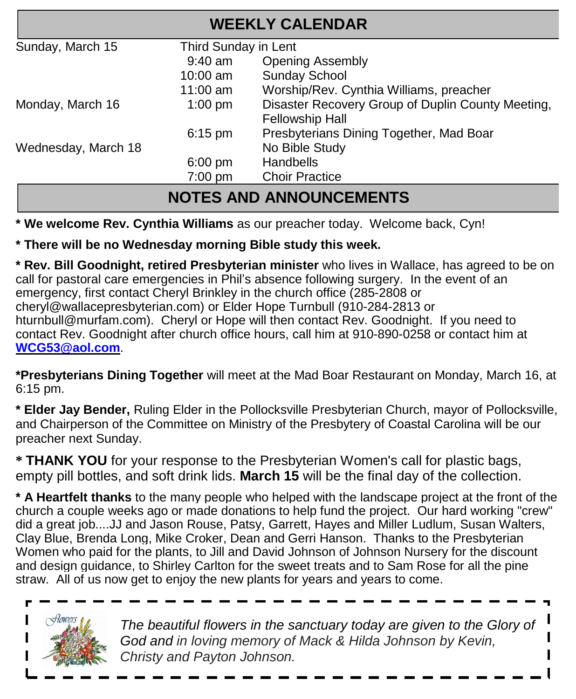| <b>WEEKLY CALENDAR</b> |                                                                             |  |  |  |  |  |
|------------------------|-----------------------------------------------------------------------------|--|--|--|--|--|
| Third Sunday in Lent   |                                                                             |  |  |  |  |  |
| $9:40$ am              | <b>Opening Assembly</b>                                                     |  |  |  |  |  |
| $10:00$ am             | <b>Sunday School</b>                                                        |  |  |  |  |  |
| $11:00$ am             | Worship/Rev. Cynthia Williams, preacher                                     |  |  |  |  |  |
| $1:00$ pm              | Disaster Recovery Group of Duplin County Meeting,<br><b>Fellowship Hall</b> |  |  |  |  |  |
| $6:15$ pm              | Presbyterians Dining Together, Mad Boar                                     |  |  |  |  |  |
|                        | No Bible Study                                                              |  |  |  |  |  |
| $6:00$ pm              | <b>Handbells</b>                                                            |  |  |  |  |  |
| $7:00$ pm              | <b>Choir Practice</b>                                                       |  |  |  |  |  |
|                        |                                                                             |  |  |  |  |  |

## **NOTES AND ANNOUNCEMENTS**

**\* We welcome Rev. Cynthia Williams** as our preacher today. Welcome back, Cyn!

#### **\* There will be no Wednesday morning Bible study this week.**

**\* Rev. Bill Goodnight, retired Presbyterian minister** who lives in Wallace, has agreed to be on call for pastoral care emergencies in Phil's absence following surgery. In the event of an emergency, first contact Cheryl Brinkley in the church office (285-2808 or cheryl@wallacepresbyterian.com) or Elder Hope Turnbull (910-284-2813 or hturnbull@murfam.com). Cheryl or Hope will then contact Rev. Goodnight. If you need to contact Rev. Goodnight after church office hours, call him at 910-890-0258 or contact him at **[WCG53@aol.com](mailto:WCG53@aol.com)**.

**\*Presbyterians Dining Together** will meet at the Mad Boar Restaurant on Monday, March 16, at 6:15 pm.

**\* Elder Jay Bender,** Ruling Elder in the Pollocksville Presbyterian Church, mayor of Pollocksville, and Chairperson of the Committee on Ministry of the Presbytery of Coastal Carolina will be our preacher next Sunday.

**\* THANK YOU** for your response to the Presbyterian Women's call for plastic bags, empty pill bottles, and soft drink lids. **March 15** will be the final day of the collection.

**\* A Heartfelt thanks** to the many people who helped with the landscape project at the front of the church a couple weeks ago or made donations to help fund the project. Our hard working "crew" did a great job....JJ and Jason Rouse, Patsy, Garrett, Hayes and Miller Ludlum, Susan Walters, Clay Blue, Brenda Long, Mike Croker, Dean and Gerri Hanson. Thanks to the Presbyterian Women who paid for the plants, to Jill and David Johnson of Johnson Nursery for the discount and design guidance, to Shirley Carlton for the sweet treats and to Sam Rose for all the pine straw. All of us now get to enjoy the new plants for years and years to come.



*The beautiful flowers in the sanctuary today are given to the Glory of God and in loving memory of Mack & Hilda Johnson by Kevin, Christy and Payton Johnson.*